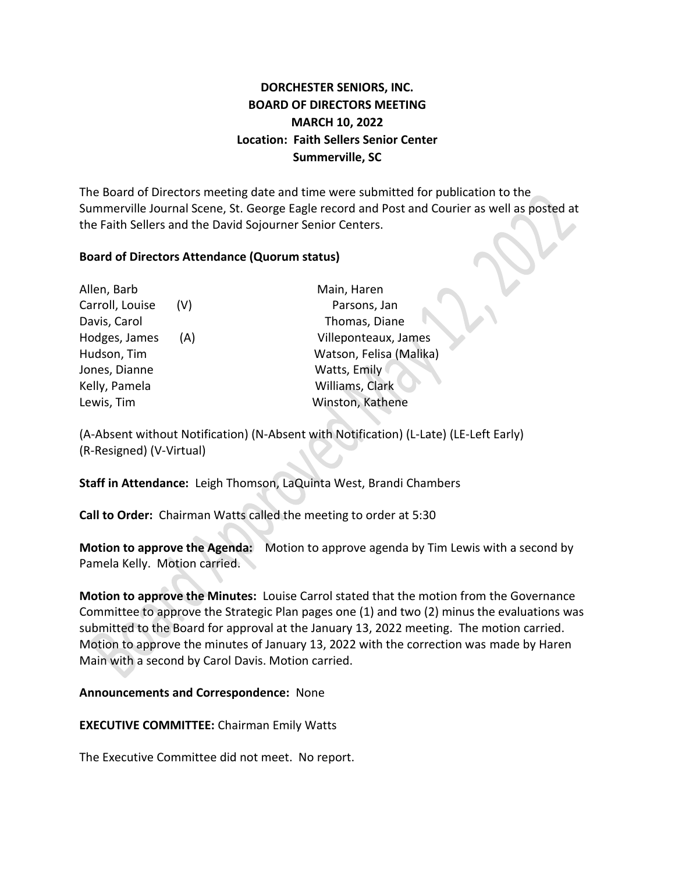# **DORCHESTER SENIORS, INC. BOARD OF DIRECTORS MEETING MARCH 10, 2022 Location: Faith Sellers Senior Center Summerville, SC**

The Board of Directors meeting date and time were submitted for publication to the Summerville Journal Scene, St. George Eagle record and Post and Courier as well as posted at the Faith Sellers and the David Sojourner Senior Centers.

#### **Board of Directors Attendance (Quorum status)**

| Allen, Barb     |     | Main, Haren             |
|-----------------|-----|-------------------------|
| Carroll, Louise | (V) | Parsons, Jan            |
| Davis, Carol    |     | Thomas, Diane           |
| Hodges, James   | (A) | Villeponteaux, James    |
| Hudson, Tim     |     | Watson, Felisa (Malika) |
| Jones, Dianne   |     | Watts, Emily            |
| Kelly, Pamela   |     | Williams, Clark         |
| Lewis, Tim      |     | Winston, Kathene        |
|                 |     |                         |

(A-Absent without Notification) (N-Absent with Notification) (L-Late) (LE-Left Early) (R-Resigned) (V-Virtual)

**Staff in Attendance:** Leigh Thomson, LaQuinta West, Brandi Chambers

**Call to Order:** Chairman Watts called the meeting to order at 5:30

**Motion to approve the Agenda:** Motion to approve agenda by Tim Lewis with a second by Pamela Kelly. Motion carried.

**Motion to approve the Minutes:** Louise Carrol stated that the motion from the Governance Committee to approve the Strategic Plan pages one (1) and two (2) minus the evaluations was submitted to the Board for approval at the January 13, 2022 meeting. The motion carried. Motion to approve the minutes of January 13, 2022 with the correction was made by Haren Main with a second by Carol Davis. Motion carried.

#### **Announcements and Correspondence:** None

**EXECUTIVE COMMITTEE:** Chairman Emily Watts

The Executive Committee did not meet. No report.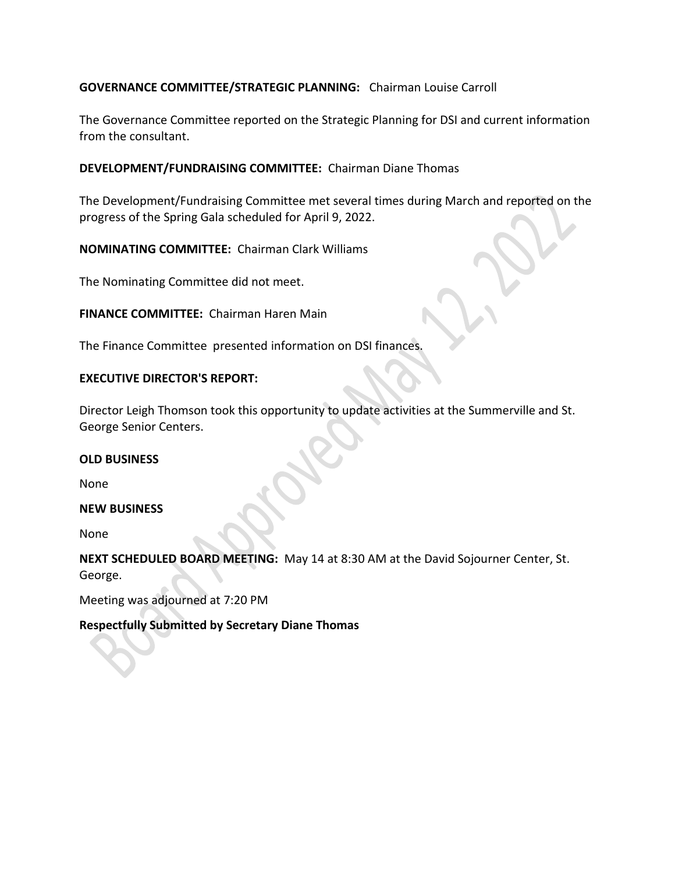## **GOVERNANCE COMMITTEE/STRATEGIC PLANNING:** Chairman Louise Carroll

The Governance Committee reported on the Strategic Planning for DSI and current information from the consultant.

#### **DEVELOPMENT/FUNDRAISING COMMITTEE:** Chairman Diane Thomas

The Development/Fundraising Committee met several times during March and reported on the progress of the Spring Gala scheduled for April 9, 2022.

**NOMINATING COMMITTEE:** Chairman Clark Williams

The Nominating Committee did not meet.

**FINANCE COMMITTEE:** Chairman Haren Main

The Finance Committee presented information on DSI finances.

### **EXECUTIVE DIRECTOR'S REPORT:**

Director Leigh Thomson took this opportunity to update activities at the Summerville and St. George Senior Centers.

#### **OLD BUSINESS**

None

#### **NEW BUSINESS**

None

**NEXT SCHEDULED BOARD MEETING:** May 14 at 8:30 AM at the David Sojourner Center, St. George.

Meeting was adjourned at 7:20 PM

## **Respectfully Submitted by Secretary Diane Thomas**